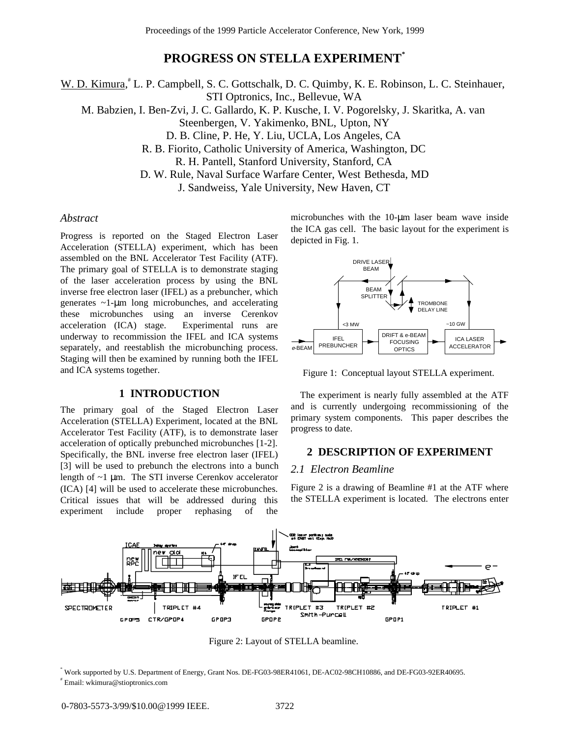# **PROGRESS ON STELLA EXPERIMENT\***

W. D. Kimura, L. P. Campbell, S. C. Gottschalk, D. C. Quimby, K. E. Robinson, L. C. Steinhauer,

STI Optronics, Inc., Bellevue, WA

M. Babzien, I. Ben-Zvi, J. C. Gallardo, K. P. Kusche, I. V. Pogorelsky, J. Skaritka, A. van

Steenbergen, V. Yakimenko, BNL, Upton, NY

D. B. Cline, P. He, Y. Liu, UCLA, Los Angeles, CA

R. B. Fiorito, Catholic University of America, Washington, DC

R. H. Pantell, Stanford University, Stanford, CA

D. W. Rule, Naval Surface Warfare Center, West Bethesda, MD

J. Sandweiss, Yale University, New Haven, CT

#### *Abstract*

Progress is reported on the Staged Electron Laser Acceleration (STELLA) experiment, which has been assembled on the BNL Accelerator Test Facility (ATF). The primary goal of STELLA is to demonstrate staging of the laser acceleration process by using the BNL inverse free electron laser (IFEL) as a prebuncher, which generates ~1-µm long microbunches, and accelerating these microbunches using an inverse Cerenkov acceleration (ICA) stage. Experimental runs are underway to recommission the IFEL and ICA systems separately, and reestablish the microbunching process. Staging will then be examined by running both the IFEL and ICA systems together.

#### **1 INTRODUCTION**

The primary goal of the Staged Electron Laser Acceleration (STELLA) Experiment, located at the BNL Accelerator Test Facility (ATF), is to demonstrate laser acceleration of optically prebunched microbunches [1-2]. Specifically, the BNL inverse free electron laser (IFEL) [3] will be used to prebunch the electrons into a bunch length of ~1 µm. The STI inverse Cerenkov accelerator (ICA) [4] will be used to accelerate these microbunches. Critical issues that will be addressed during this experiment include proper rephasing of the

microbunches with the 10-um laser beam wave inside the ICA gas cell. The basic layout for the experiment is depicted in Fig. 1.



Figure 1: Conceptual layout STELLA experiment.

The experiment is nearly fully assembled at the ATF and is currently undergoing recommissioning of the primary system components. This paper describes the progress to date.

### **2 DESCRIPTION OF EXPERIMENT**

#### *2.1 Electron Beamline*

Figure 2 is a drawing of Beamline #1 at the ATF where the STELLA experiment is located. The electrons enter



Figure 2: Layout of STELLA beamline.

\* Work supported by U.S. Department of Energy, Grant Nos. DE-FG03-98ER41061, DE-AC02-98CH10886, and DE-FG03-92ER40695. # Email: wkimura@stioptronics.com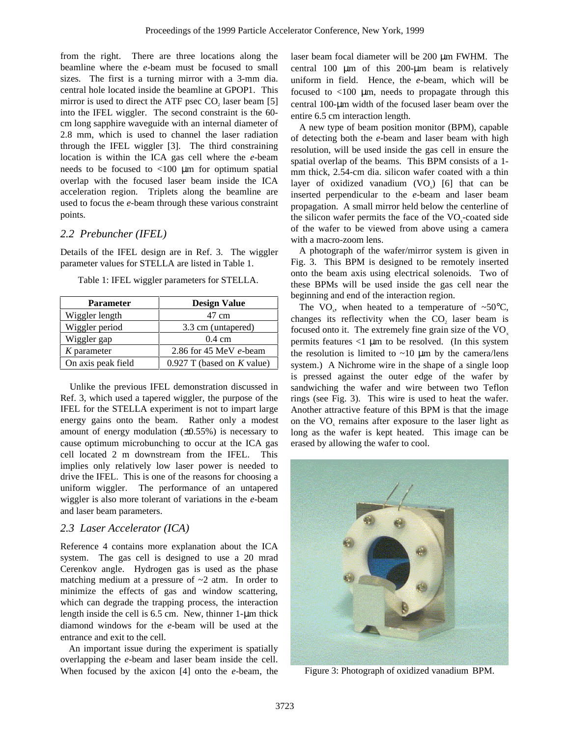from the right. There are three locations along the beamline where the *e*-beam must be focused to small sizes. The first is a turning mirror with a 3-mm dia. central hole located inside the beamline at GPOP1. This mirror is used to direct the ATF psec  $CO<sub>2</sub>$  laser beam [5] into the IFEL wiggler. The second constraint is the 60 cm long sapphire waveguide with an internal diameter of 2.8 mm, which is used to channel the laser radiation through the IFEL wiggler [3]. The third constraining location is within the ICA gas cell where the *e*-beam needs to be focused to  $<100 \mu m$  for optimum spatial overlap with the focused laser beam inside the ICA acceleration region. Triplets along the beamline are used to focus the *e*-beam through these various constraint points.

## *2.2 Prebuncher (IFEL)*

Details of the IFEL design are in Ref. 3. The wiggler parameter values for STELLA are listed in Table 1.

| Table 1: IFEL wiggler parameters for STELLA. |  |  |
|----------------------------------------------|--|--|
|                                              |  |  |

| <b>Parameter</b>   | <b>Design Value</b>          |  |
|--------------------|------------------------------|--|
| Wiggler length     | 47 cm                        |  |
| Wiggler period     | 3.3 cm (untapered)           |  |
| Wiggler gap        | $0.4 \text{ cm}$             |  |
| $K$ parameter      | 2.86 for 45 MeV $e$ -beam    |  |
| On axis peak field | $0.927$ T (based on K value) |  |

Unlike the previous IFEL demonstration discussed in Ref. 3, which used a tapered wiggler, the purpose of the IFEL for the STELLA experiment is not to impart large energy gains onto the beam. Rather only a modest amount of energy modulation  $(\pm 0.55\%)$  is necessary to cause optimum microbunching to occur at the ICA gas cell located 2 m downstream from the IFEL. This implies only relatively low laser power is needed to drive the IFEL. This is one of the reasons for choosing a uniform wiggler. The performance of an untapered wiggler is also more tolerant of variations in the *e*-beam and laser beam parameters.

### *2.3 Laser Accelerator (ICA)*

Reference 4 contains more explanation about the ICA system. The gas cell is designed to use a 20 mrad Cerenkov angle. Hydrogen gas is used as the phase matching medium at a pressure of  $\sim$ 2 atm. In order to minimize the effects of gas and window scattering, which can degrade the trapping process, the interaction length inside the cell is 6.5 cm. New, thinner 1-µm thick diamond windows for the *e*-beam will be used at the entrance and exit to the cell.

An important issue during the experiment is spatially overlapping the *e*-beam and laser beam inside the cell. When focused by the axicon [4] onto the *e*-beam, the laser beam focal diameter will be 200 µm FWHM. The central 100 µm of this 200-µm beam is relatively uniform in field. Hence, the *e*-beam, which will be focused to  $\langle 100 \mu m \rangle$ , needs to propagate through this central 100-µm width of the focused laser beam over the entire 6.5 cm interaction length.

A new type of beam position monitor (BPM), capable of detecting both the *e*-beam and laser beam with high resolution, will be used inside the gas cell in ensure the spatial overlap of the beams. This BPM consists of a 1 mm thick, 2.54-cm dia. silicon wafer coated with a thin layer of oxidized vanadium  $(VO<sub>x</sub>)$  [6] that can be inserted perpendicular to the *e*-beam and laser beam propagation. A small mirror held below the centerline of the silicon wafer permits the face of the  $VO<sub>x</sub>$ -coated side of the wafer to be viewed from above using a camera with a macro-zoom lens.

A photograph of the wafer/mirror system is given in Fig. 3. This BPM is designed to be remotely inserted onto the beam axis using electrical solenoids. Two of these BPMs will be used inside the gas cell near the beginning and end of the interaction region.

The VO<sub>x</sub>, when heated to a temperature of ~50 $^{\circ}$ C, changes its reflectivity when the CO<sub>2</sub> laser beam is focused onto it. The extremely fine grain size of the  $VO<sub>x</sub>$ permits features  $\langle 1 \rangle$  µm to be resolved. (In this system the resolution is limited to  $\sim$ 10  $\mu$ m by the camera/lens system.) A Nichrome wire in the shape of a single loop is pressed against the outer edge of the wafer by sandwiching the wafer and wire between two Teflon rings (see Fig. 3). This wire is used to heat the wafer. Another attractive feature of this BPM is that the image on the VO<sub>x</sub> remains after exposure to the laser light as long as the wafer is kept heated. This image can be erased by allowing the wafer to cool.



Figure 3: Photograph of oxidized vanadium BPM.